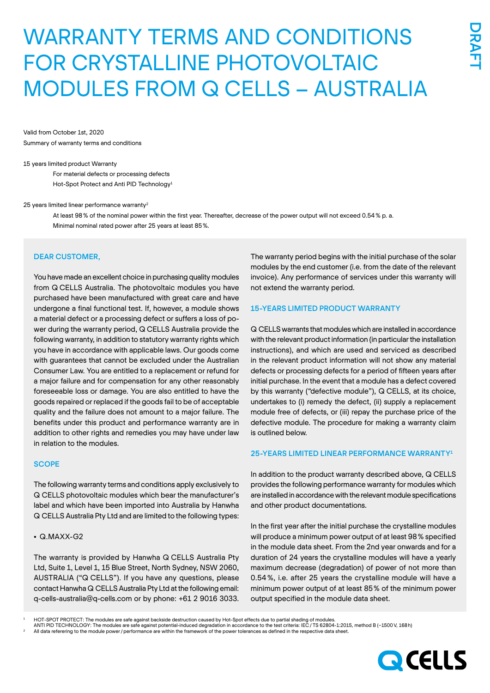# WARRANTY TERMS AND CONDITIONS FOR CRYSTALLINE PHOTOVOLTAIC MODULES FROM Q CELLS – AUSTRALIA

Valid from October 1st, 2020 Summary of warranty terms and conditions

#### 15 years limited product Warranty

For material defects or processing defects Hot-Spot Protect and Anti PID Technology<sup>1</sup>

#### 25 years limited linear performance warranty2

At least 98% of the nominal power within the first year. Thereafter, decrease of the power output will not exceed 0.54% p. a. Minimal nominal rated power after 25 years at least 85%.

#### DEAR CUSTOMER,

You have made an excellent choice in purchasing quality modules from Q CELLS Australia. The photovoltaic modules you have purchased have been manufactured with great care and have undergone a final functional test. If, however, a module shows a material defect or a processing defect or suffers a loss of power during the warranty period, Q CELLS Australia provide the following warranty, in addition to statutory warranty rights which you have in accordance with applicable laws. Our goods come with guarantees that cannot be excluded under the Australian Consumer Law. You are entitled to a replacement or refund for a major failure and for compensation for any other reasonably foreseeable loss or damage. You are also entitled to have the goods repaired or replaced if the goods fail to be of acceptable quality and the failure does not amount to a major failure. The benefits under this product and performance warranty are in addition to other rights and remedies you may have under law in relation to the modules.

#### **SCOPE**

The following warranty terms and conditions apply exclusively to Q CELLS photovoltaic modules which bear the manufacturer's label and which have been imported into Australia by Hanwha Q CELLS Australia Pty Ltd and are limited to the following types:

## • Q.MAXX-G2

The warranty is provided by Hanwha Q CELLS Australia Pty Ltd, Suite 1, Level 1, 15 Blue Street, North Sydney, NSW 2060, AUSTRALIA ("Q CELLS"). If you have any questions, please contact Hanwha Q CELLS Australia Pty Ltd at the following email: q-cells-australia@q-cells.com or by phone: +61 2 9016 3033. The warranty period begins with the initial purchase of the solar modules by the end customer (i.e. from the date of the relevant invoice). Any performance of services under this warranty will not extend the warranty period.

#### 15-YEARS LIMITED PRODUCT WARRANTY

Q CELLS warrants that modules which are installed in accordance with the relevant product information (in particular the installation instructions), and which are used and serviced as described in the relevant product information will not show any material defects or processing defects for a period of fifteen years after initial purchase. In the event that a module has a defect covered by this warranty ("defective module"), Q CELLS, at its choice, undertakes to (i) remedy the defect, (ii) supply a replacement module free of defects, or (iii) repay the purchase price of the defective module. The procedure for making a warranty claim is outlined below.

#### 25-YEARS LIMITED LINEAR PERFORMANCE WARRANTY1

In addition to the product warranty described above, Q CELLS provides the following performance warranty for modules which are installed in accordance with the relevant module specifications and other product documentations.

In the first year after the initial purchase the crystalline modules will produce a minimum power output of at least 98% specified in the module data sheet. From the 2nd year onwards and for a duration of 24 years the crystalline modules will have a yearly maximum decrease (degradation) of power of not more than 0.54%, i.e. after 25 years the crystalline module will have a minimum power output of at least 85% of the minimum power output specified in the module data sheet.

All data referering to the module power / performance are within the framework of the power tolerances as defined in the respective data sheet



<sup>1</sup> HOT-SPOT PROTECT: The modules are safe against backside destruction caused by Hot-Spot effects due to partial shading of modules.

ANTI PID TECHNOLOGY: The modules are safe against potential-induced degradation in accordance to the test criteria: IEC/TS 62804-1:2015, method B (−1500V, 168h)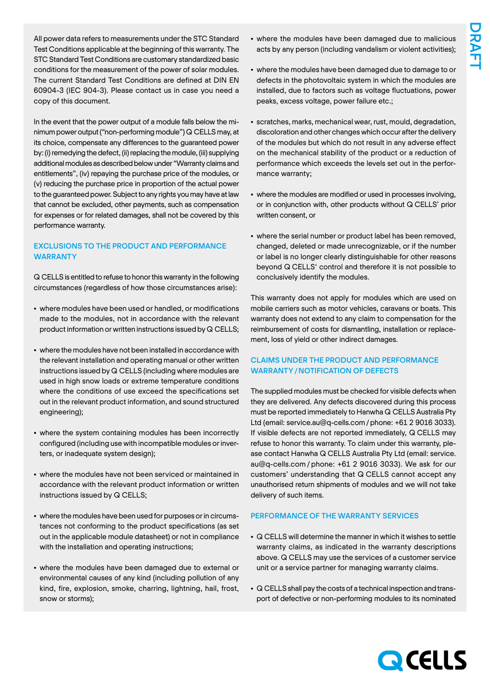All power data refers to measurements under the STC Standard Test Conditions applicable at the beginning of this warranty. The STC Standard Test Conditions are customary standardized basic conditions for the measurement of the power of solar modules. The current Standard Test Conditions are defined at DIN EN 60904-3 (IEC 904-3). Please contact us in case you need a copy of this document.

In the event that the power output of a module falls below the minimum power output ("non-performing module") Q CELLS may, at its choice, compensate any differences to the guaranteed power by: (i) remedying the defect, (ii) replacing the module, (iii) supplying additional modules as described below under "Warranty claims and entitlements", (iv) repaying the purchase price of the modules, or (v) reducing the purchase price in proportion of the actual power to the guaranteed power. Subject to any rights you may have at law that cannot be excluded, other payments, such as compensation for expenses or for related damages, shall not be covered by this performance warranty.

## EXCLUSIONS TO THE PRODUCT AND PERFORMANCE **WARRANTY**

Q CELLS is entitled to refuse to honor this warranty in the following circumstances (regardless of how those circumstances arise):

- where modules have been used or handled, or modifications made to the modules, not in accordance with the relevant product information or written instructions issued by Q CELLS;
- where the modules have not been installed in accordance with the relevant installation and operating manual or other written instructions issued by Q CELLS (including where modules are used in high snow loads or extreme temperature conditions where the conditions of use exceed the specifications set out in the relevant product information, and sound structured engineering);
- where the system containing modules has been incorrectly configured (including use with incompatible modules or inverters, or inadequate system design);
- where the modules have not been serviced or maintained in accordance with the relevant product information or written instructions issued by Q CELLS;
- where the modules have been used for purposes or in circumstances not conforming to the product specifications (as set out in the applicable module datasheet) or not in compliance with the installation and operating instructions;
- where the modules have been damaged due to external or environmental causes of any kind (including pollution of any kind, fire, explosion, smoke, charring, lightning, hail, frost, snow or storms);
- where the modules have been damaged due to malicious acts by any person (including vandalism or violent activities);
- where the modules have been damaged due to damage to or defects in the photovoltaic system in which the modules are installed, due to factors such as voltage fluctuations, power peaks, excess voltage, power failure etc.;
- scratches, marks, mechanical wear, rust, mould, degradation, discoloration and other changes which occur after the delivery of the modules but which do not result in any adverse effect on the mechanical stability of the product or a reduction of performance which exceeds the levels set out in the performance warranty;
- where the modules are modified or used in processes involving, or in conjunction with, other products without Q CELLS' prior written consent, or
- where the serial number or product label has been removed, changed, deleted or made unrecognizable, or if the number or label is no longer clearly distinguishable for other reasons beyond Q CELLS' control and therefore it is not possible to conclusively identify the modules.

This warranty does not apply for modules which are used on mobile carriers such as motor vehicles, caravans or boats. This warranty does not extend to any claim to compensation for the reimbursement of costs for dismantling, installation or replacement, loss of yield or other indirect damages.

# CLAIMS UNDER THE PRODUCT AND PERFORMANCE WARRANTY/NOTIFICATION OF DEFECTS

The supplied modules must be checked for visible defects when they are delivered. Any defects discovered during this process must be reported immediately to Hanwha Q CELLS Australia Pty Ltd (email: service.au@q-cells.com/phone: +61 2 9016 3033). If visible defects are not reported immediately, Q CELLS may refuse to honor this warranty. To claim under this warranty, please contact Hanwha Q CELLS Australia Pty Ltd (email: service. au@q-cells.com / phone: +61 2 9016 3033). We ask for our customers' understanding that Q CELLS cannot accept any unauthorised return shipments of modules and we will not take delivery of such items.

# PERFORMANCE OF THE WARRANTY SERVICES

- Q CELLS will determine the manner in which it wishes to settle warranty claims, as indicated in the warranty descriptions above. Q CELLS may use the services of a customer service unit or a service partner for managing warranty claims.
- Q CELLS shall pay the costs of a technical inspection and transport of defective or non-performing modules to its nominated